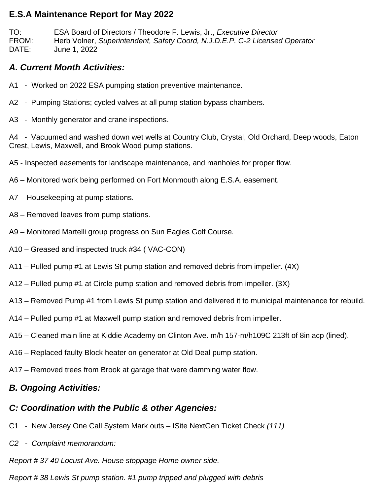### **E.S.A Maintenance Report for May 2022**

TO: ESA Board of Directors / Theodore F. Lewis, Jr., *Executive Director* FROM: Herb Volner, *Superintendent, Safety Coord, N.J.D.E.P. C-2 Licensed Operator* DATE: June 1, 2022

### *A. Current Month Activities:*

- A1 Worked on 2022 ESA pumping station preventive maintenance.
- A2 Pumping Stations; cycled valves at all pump station bypass chambers.
- A3 Monthly generator and crane inspections.

A4 - Vacuumed and washed down wet wells at Country Club, Crystal, Old Orchard, Deep woods, Eaton Crest, Lewis, Maxwell, and Brook Wood pump stations.

A5 - Inspected easements for landscape maintenance, and manholes for proper flow.

- A6 Monitored work being performed on Fort Monmouth along E.S.A. easement.
- A7 Housekeeping at pump stations.
- A8 Removed leaves from pump stations.
- A9 Monitored Martelli group progress on Sun Eagles Golf Course.
- A10 Greased and inspected truck #34 ( VAC-CON)
- A11 Pulled pump #1 at Lewis St pump station and removed debris from impeller. (4X)
- A12 Pulled pump #1 at Circle pump station and removed debris from impeller. (3X)
- A13 Removed Pump #1 from Lewis St pump station and delivered it to municipal maintenance for rebuild.
- A14 Pulled pump #1 at Maxwell pump station and removed debris from impeller.
- A15 Cleaned main line at Kiddie Academy on Clinton Ave. m/h 157-m/h109C 213ft of 8in acp (lined).
- A16 Replaced faulty Block heater on generator at Old Deal pump station.
- A17 Removed trees from Brook at garage that were damming water flow.

# *B. Ongoing Activities:*

## *C: Coordination with the Public & other Agencies:*

- C1 New Jersey One Call System Mark outs ISite NextGen Ticket Check *(111)*
- *C2 Complaint memorandum:*

*Report # 37 40 Locust Ave. House stoppage Home owner side.*

*Report # 38 Lewis St pump station. #1 pump tripped and plugged with debris*